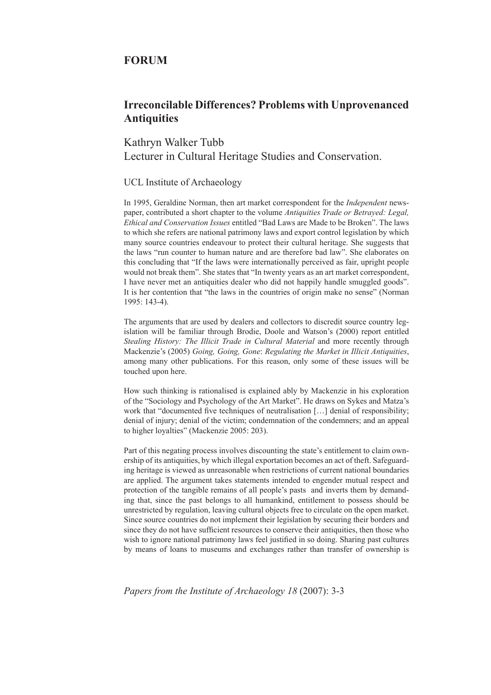## **FORUM**

## **Irreconcilable Differences? Problems with Unprovenanced Antiquities**

Kathryn Walker Tubb Lecturer in Cultural Heritage Studies and Conservation.

## UCL Institute of Archaeology

In 1995, Geraldine Norman, then art market correspondent for the *Independent* newspaper, contributed a short chapter to the volume *Antiquities Trade or Betrayed: Legal, Ethical and Conservation Issues* entitled "Bad Laws are Made to be Broken". The laws to which she refers are national patrimony laws and export control legislation by which many source countries endeavour to protect their cultural heritage. She suggests that the laws "run counter to human nature and are therefore bad law". She elaborates on this concluding that "If the laws were internationally perceived as fair, upright people would not break them". She states that "In twenty years as an art market correspondent, I have never met an antiquities dealer who did not happily handle smuggled goods". It is her contention that "the laws in the countries of origin make no sense" (Norman 1995: 143-4).

The arguments that are used by dealers and collectors to discredit source country legislation will be familiar through Brodie, Doole and Watson's (2000) report entitled *Stealing History: The Illicit Trade in Cultural Material* and more recently through Mackenzie's (2005) *Going, Going, Gone*: *Regulating the Market in Illicit Antiquities*, among many other publications. For this reason, only some of these issues will be touched upon here.

How such thinking is rationalised is explained ably by Mackenzie in his exploration of the "Sociology and Psychology of the Art Market". He draws on Sykes and Matza's work that "documented five techniques of neutralisation [...] denial of responsibility; denial of injury; denial of the victim; condemnation of the condemners; and an appeal to higher loyalties" (Mackenzie 2005: 203).

Part of this negating process involves discounting the state's entitlement to claim ownership of its antiquities, by which illegal exportation becomes an act of theft. Safeguarding heritage is viewed as unreasonable when restrictions of current national boundaries are applied. The argument takes statements intended to engender mutual respect and protection of the tangible remains of all people's pasts and inverts them by demanding that, since the past belongs to all humankind, entitlement to possess should be unrestricted by regulation, leaving cultural objects free to circulate on the open market. Since source countries do not implement their legislation by securing their borders and since they do not have sufficient resources to conserve their antiquities, then those who wish to ignore national patrimony laws feel justified in so doing. Sharing past cultures by means of loans to museums and exchanges rather than transfer of ownership is

*Papers from the Institute of Archaeology 18* (2007): 3-3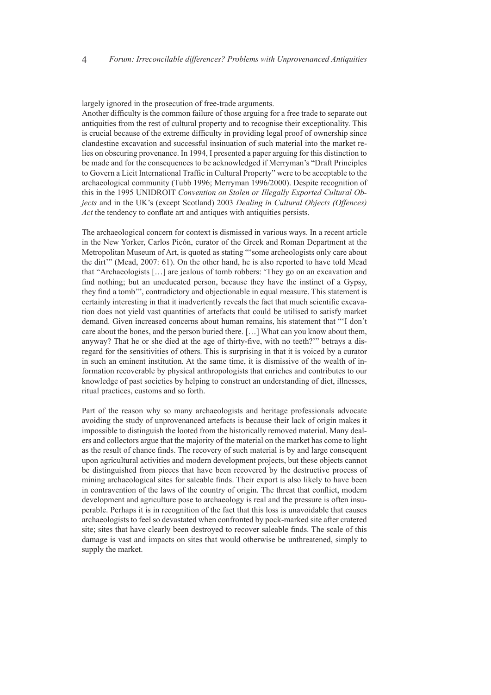largely ignored in the prosecution of free-trade arguments.

Another difficulty is the common failure of those arguing for a free trade to separate out antiquities from the rest of cultural property and to recognise their exceptionality. This is crucial because of the extreme difficulty in providing legal proof of ownership since clandestine excavation and successful insinuation of such material into the market relies on obscuring provenance. In 1994, I presented a paper arguing for this distinction to be made and for the consequences to be acknowledged if Merryman's "Draft Principles to Govern a Licit International Traffic in Cultural Property" were to be acceptable to the archaeological community (Tubb 1996; Merryman 1996/2000). Despite recognition of this in the 1995 UNIDROIT *Convention on Stolen or Illegally Exported Cultural Objects* and in the UK's (except Scotland) 2003 *Dealing in Cultural Objects (Offences) Act* the tendency to conflate art and antiques with antiquities persists.

The archaeological concern for context is dismissed in various ways. In a recent article in the New Yorker, Carlos Picón, curator of the Greek and Roman Department at the Metropolitan Museum of Art, is quoted as stating "'some archeologists only care about the dirt'" (Mead, 2007: 61). On the other hand, he is also reported to have told Mead that "Archaeologists […] are jealous of tomb robbers: 'They go on an excavation and find nothing; but an uneducated person, because they have the instinct of a Gypsy, they find a tomb'", contradictory and objectionable in equal measure. This statement is certainly interesting in that it inadvertently reveals the fact that much scientific excavation does not yield vast quantities of artefacts that could be utilised to satisfy market demand. Given increased concerns about human remains, his statement that "'I don't care about the bones, and the person buried there. […] What can you know about them, anyway? That he or she died at the age of thirty-five, with no teeth?'" betrays a disregard for the sensitivities of others. This is surprising in that it is voiced by a curator in such an eminent institution. At the same time, it is dismissive of the wealth of information recoverable by physical anthropologists that enriches and contributes to our knowledge of past societies by helping to construct an understanding of diet, illnesses, ritual practices, customs and so forth.

Part of the reason why so many archaeologists and heritage professionals advocate avoiding the study of unprovenanced artefacts is because their lack of origin makes it impossible to distinguish the looted from the historically removed material. Many dealers and collectors argue that the majority of the material on the market has come to light as the result of chance finds. The recovery of such material is by and large consequent upon agricultural activities and modern development projects, but these objects cannot be distinguished from pieces that have been recovered by the destructive process of mining archaeological sites for saleable finds. Their export is also likely to have been in contravention of the laws of the country of origin. The threat that conflict, modern development and agriculture pose to archaeology is real and the pressure is often insuperable. Perhaps it is in recognition of the fact that this loss is unavoidable that causes archaeologists to feel so devastated when confronted by pock-marked site after cratered site; sites that have clearly been destroyed to recover saleable finds. The scale of this damage is vast and impacts on sites that would otherwise be unthreatened, simply to supply the market.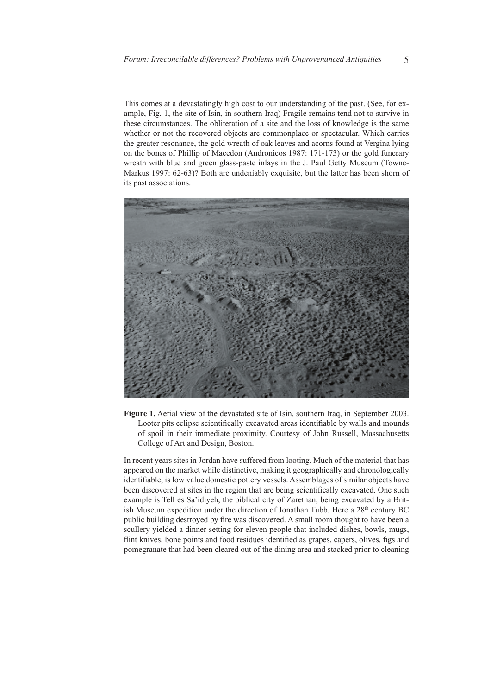This comes at a devastatingly high cost to our understanding of the past. (See, for example, Fig. 1, the site of Isin, in southern Iraq) Fragile remains tend not to survive in these circumstances. The obliteration of a site and the loss of knowledge is the same whether or not the recovered objects are commonplace or spectacular. Which carries the greater resonance, the gold wreath of oak leaves and acorns found at Vergina lying on the bones of Phillip of Macedon (Andronicos 1987: 171-173) or the gold funerary wreath with blue and green glass-paste inlays in the J. Paul Getty Museum (Towne-Markus 1997: 62-63)? Both are undeniably exquisite, but the latter has been shorn of its past associations.



**Figure 1.** Aerial view of the devastated site of Isin, southern Iraq, in September 2003. Looter pits eclipse scientifically excavated areas identifiable by walls and mounds of spoil in their immediate proximity. Courtesy of John Russell, Massachusetts College of Art and Design, Boston.

In recent years sites in Jordan have suffered from looting. Much of the material that has appeared on the market while distinctive, making it geographically and chronologically identifiable, is low value domestic pottery vessels. Assemblages of similar objects have been discovered at sites in the region that are being scientifically excavated. One such example is Tell es Sa'idiyeh, the biblical city of Zarethan, being excavated by a British Museum expedition under the direction of Jonathan Tubb. Here a 28<sup>th</sup> century BC public building destroyed by fire was discovered. A small room thought to have been a scullery yielded a dinner setting for eleven people that included dishes, bowls, mugs, flint knives, bone points and food residues identified as grapes, capers, olives, figs and pomegranate that had been cleared out of the dining area and stacked prior to cleaning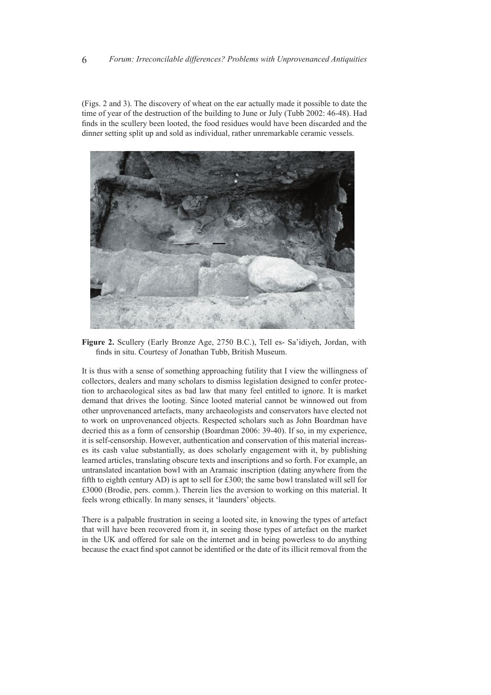(Figs. 2 and 3). The discovery of wheat on the ear actually made it possible to date the time of year of the destruction of the building to June or July (Tubb 2002: 46-48). Had finds in the scullery been looted, the food residues would have been discarded and the dinner setting split up and sold as individual, rather unremarkable ceramic vessels.



**Figure 2.** Scullery (Early Bronze Age, 2750 B.C.), Tell es- Sa'idiyeh, Jordan, with finds in situ. Courtesy of Jonathan Tubb, British Museum.

It is thus with a sense of something approaching futility that I view the willingness of collectors, dealers and many scholars to dismiss legislation designed to confer protection to archaeological sites as bad law that many feel entitled to ignore. It is market demand that drives the looting. Since looted material cannot be winnowed out from other unprovenanced artefacts, many archaeologists and conservators have elected not to work on unprovenanced objects. Respected scholars such as John Boardman have decried this as a form of censorship (Boardman 2006: 39-40). If so, in my experience, it is self-censorship. However, authentication and conservation of this material increases its cash value substantially, as does scholarly engagement with it, by publishing learned articles, translating obscure texts and inscriptions and so forth. For example, an untranslated incantation bowl with an Aramaic inscription (dating anywhere from the fifth to eighth century AD) is apt to sell for £300; the same bowl translated will sell for £3000 (Brodie, pers. comm.). Therein lies the aversion to working on this material. It feels wrong ethically. In many senses, it 'launders' objects.

There is a palpable frustration in seeing a looted site, in knowing the types of artefact that will have been recovered from it, in seeing those types of artefact on the market in the UK and offered for sale on the internet and in being powerless to do anything because the exact find spot cannot be identified or the date of its illicit removal from the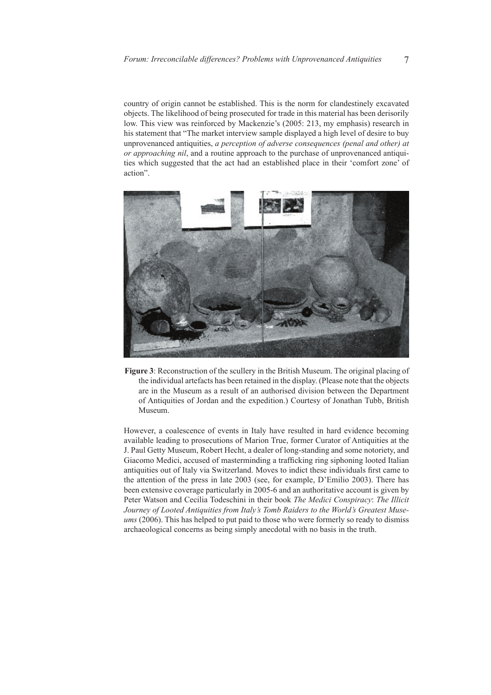country of origin cannot be established. This is the norm for clandestinely excavated objects. The likelihood of being prosecuted for trade in this material has been derisorily low. This view was reinforced by Mackenzie's (2005: 213, my emphasis) research in his statement that "The market interview sample displayed a high level of desire to buy unprovenanced antiquities, *a perception of adverse consequences (penal and other) at or approaching nil*, and a routine approach to the purchase of unprovenanced antiquities which suggested that the act had an established place in their 'comfort zone' of action".



**Figure 3**: Reconstruction of the scullery in the British Museum. The original placing of the individual artefacts has been retained in the display. (Please note that the objects are in the Museum as a result of an authorised division between the Department of Antiquities of Jordan and the expedition.) Courtesy of Jonathan Tubb, British Museum.

However, a coalescence of events in Italy have resulted in hard evidence becoming available leading to prosecutions of Marion True, former Curator of Antiquities at the J. Paul Getty Museum, Robert Hecht, a dealer of long-standing and some notoriety, and Giacomo Medici, accused of masterminding a trafficking ring siphoning looted Italian antiquities out of Italy via Switzerland. Moves to indict these individuals first came to the attention of the press in late 2003 (see, for example, D'Emilio 2003). There has been extensive coverage particularly in 2005-6 and an authoritative account is given by Peter Watson and Cecilia Todeschini in their book *The Medici Conspiracy*: *The Illicit Journey of Looted Antiquities from Italy's Tomb Raiders to the World's Greatest Museums* (2006). This has helped to put paid to those who were formerly so ready to dismiss archaeological concerns as being simply anecdotal with no basis in the truth.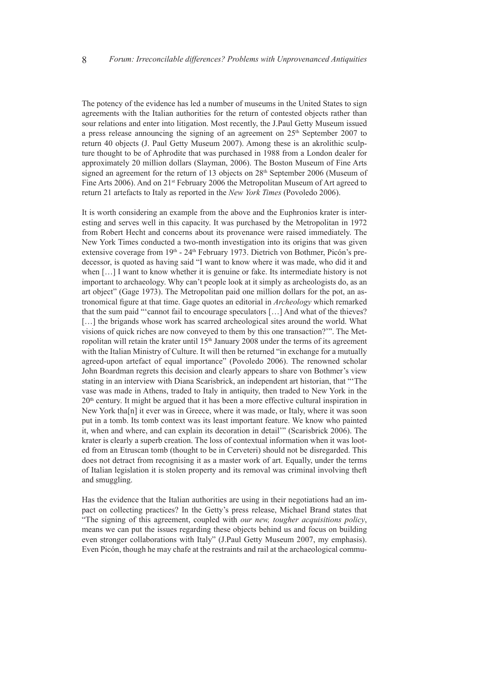The potency of the evidence has led a number of museums in the United States to sign agreements with the Italian authorities for the return of contested objects rather than sour relations and enter into litigation. Most recently, the J.Paul Getty Museum issued a press release announcing the signing of an agreement on  $25<sup>th</sup>$  September 2007 to return 40 objects (J. Paul Getty Museum 2007). Among these is an akrolithic sculpture thought to be of Aphrodite that was purchased in 1988 from a London dealer for approximately 20 million dollars (Slayman, 2006). The Boston Museum of Fine Arts signed an agreement for the return of 13 objects on 28<sup>th</sup> September 2006 (Museum of Fine Arts 2006). And on 21<sup>st</sup> February 2006 the Metropolitan Museum of Art agreed to return 21 artefacts to Italy as reported in the *New York Times* (Povoledo 2006).

It is worth considering an example from the above and the Euphronios krater is interesting and serves well in this capacity. It was purchased by the Metropolitan in 1972 from Robert Hecht and concerns about its provenance were raised immediately. The New York Times conducted a two-month investigation into its origins that was given extensive coverage from 19<sup>th</sup> - 24<sup>th</sup> February 1973. Dietrich von Bothmer, Picón's predecessor, is quoted as having said "I want to know where it was made, who did it and when […] I want to know whether it is genuine or fake. Its intermediate history is not important to archaeology. Why can't people look at it simply as archeologists do, as an art object" (Gage 1973). The Metropolitan paid one million dollars for the pot, an astronomical figure at that time. Gage quotes an editorial in *Archeology* which remarked that the sum paid "'cannot fail to encourage speculators […] And what of the thieves? [...] the brigands whose work has scarred archeological sites around the world. What visions of quick riches are now conveyed to them by this one transaction?'". The Metropolitan will retain the krater until 15<sup>th</sup> January 2008 under the terms of its agreement with the Italian Ministry of Culture. It will then be returned "in exchange for a mutually agreed-upon artefact of equal importance" (Povoledo 2006). The renowned scholar John Boardman regrets this decision and clearly appears to share von Bothmer's view stating in an interview with Diana Scarisbrick, an independent art historian, that "'The vase was made in Athens, traded to Italy in antiquity, then traded to New York in the  $20<sup>th</sup>$  century. It might be argued that it has been a more effective cultural inspiration in New York tha[n] it ever was in Greece, where it was made, or Italy, where it was soon put in a tomb. Its tomb context was its least important feature. We know who painted it, when and where, and can explain its decoration in detail'" (Scarisbrick 2006). The krater is clearly a superb creation. The loss of contextual information when it was looted from an Etruscan tomb (thought to be in Cerveteri) should not be disregarded. This does not detract from recognising it as a master work of art. Equally, under the terms of Italian legislation it is stolen property and its removal was criminal involving theft and smuggling.

Has the evidence that the Italian authorities are using in their negotiations had an impact on collecting practices? In the Getty's press release, Michael Brand states that "The signing of this agreement, coupled with *our new, tougher acquisitions policy*, means we can put the issues regarding these objects behind us and focus on building even stronger collaborations with Italy" (J.Paul Getty Museum 2007, my emphasis). Even Picón, though he may chafe at the restraints and rail at the archaeological commu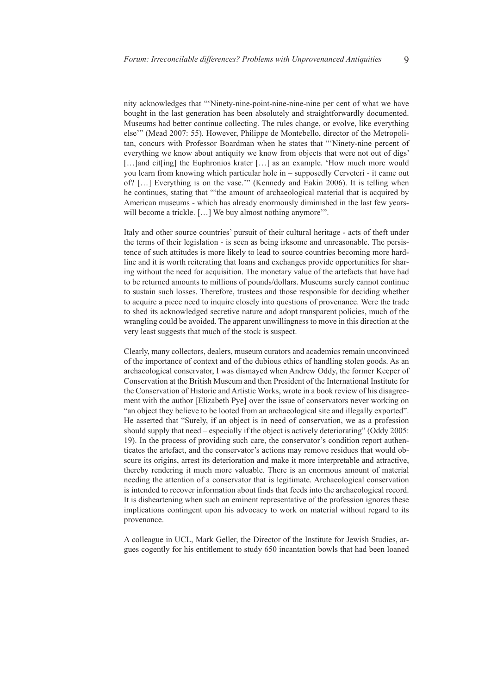nity acknowledges that "'Ninety-nine-point-nine-nine-nine per cent of what we have bought in the last generation has been absolutely and straightforwardly documented. Museums had better continue collecting. The rules change, or evolve, like everything else'" (Mead 2007: 55). However, Philippe de Montebello, director of the Metropolitan, concurs with Professor Boardman when he states that "'Ninety-nine percent of everything we know about antiquity we know from objects that were not out of digs' [...]and cit[ing] the Euphronios krater [...] as an example. 'How much more would you learn from knowing which particular hole in – supposedly Cerveteri - it came out of? […] Everything is on the vase.'" (Kennedy and Eakin 2006). It is telling when he continues, stating that "'the amount of archaeological material that is acquired by American museums - which has already enormously diminished in the last few yearswill become a trickle. [...] We buy almost nothing anymore".

Italy and other source countries' pursuit of their cultural heritage - acts of theft under the terms of their legislation - is seen as being irksome and unreasonable. The persistence of such attitudes is more likely to lead to source countries becoming more hardline and it is worth reiterating that loans and exchanges provide opportunities for sharing without the need for acquisition. The monetary value of the artefacts that have had to be returned amounts to millions of pounds/dollars. Museums surely cannot continue to sustain such losses. Therefore, trustees and those responsible for deciding whether to acquire a piece need to inquire closely into questions of provenance. Were the trade to shed its acknowledged secretive nature and adopt transparent policies, much of the wrangling could be avoided. The apparent unwillingness to move in this direction at the very least suggests that much of the stock is suspect.

Clearly, many collectors, dealers, museum curators and academics remain unconvinced of the importance of context and of the dubious ethics of handling stolen goods. As an archaeological conservator, I was dismayed when Andrew Oddy, the former Keeper of Conservation at the British Museum and then President of the International Institute for the Conservation of Historic and Artistic Works, wrote in a book review of his disagreement with the author [Elizabeth Pye] over the issue of conservators never working on "an object they believe to be looted from an archaeological site and illegally exported". He asserted that "Surely, if an object is in need of conservation, we as a profession should supply that need – especially if the object is actively deteriorating" (Oddy 2005: 19). In the process of providing such care, the conservator's condition report authenticates the artefact, and the conservator's actions may remove residues that would obscure its origins, arrest its deterioration and make it more interpretable and attractive, thereby rendering it much more valuable. There is an enormous amount of material needing the attention of a conservator that is legitimate. Archaeological conservation is intended to recover information about finds that feeds into the archaeological record. It is disheartening when such an eminent representative of the profession ignores these implications contingent upon his advocacy to work on material without regard to its provenance.

A colleague in UCL, Mark Geller, the Director of the Institute for Jewish Studies, argues cogently for his entitlement to study 650 incantation bowls that had been loaned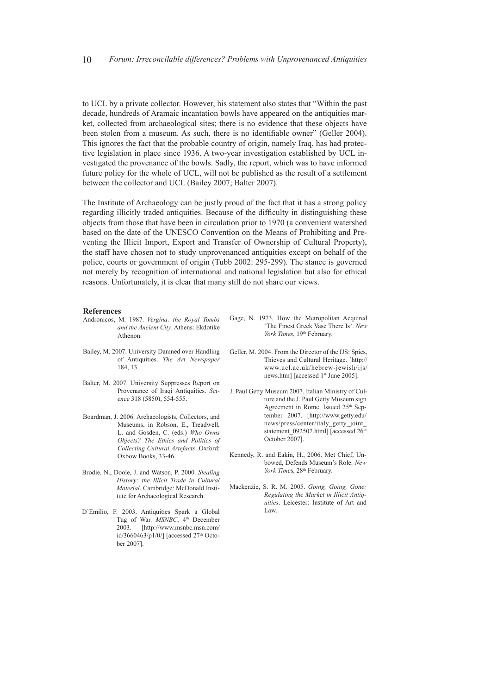to UCL by a private collector. However, his statement also states that "Within the past decade, hundreds of Aramaic incantation bowls have appeared on the antiquities market, collected from archaeological sites; there is no evidence that these objects have been stolen from a museum. As such, there is no identifiable owner" (Geller 2004). This ignores the fact that the probable country of origin, namely Iraq, has had protective legislation in place since 1936. A two-year investigation established by UCL investigated the provenance of the bowls. Sadly, the report, which was to have informed future policy for the whole of UCL, will not be published as the result of a settlement between the collector and UCL (Bailey 2007; Balter 2007).

The Institute of Archaeology can be justly proud of the fact that it has a strong policy regarding illicitly traded antiquities. Because of the difficulty in distinguishing these objects from those that have been in circulation prior to 1970 (a convenient watershed based on the date of the UNESCO Convention on the Means of Prohibiting and Preventing the Illicit Import, Export and Transfer of Ownership of Cultural Property), the staff have chosen not to study unprovenanced antiquities except on behalf of the police, courts or government of origin (Tubb 2002: 295-299). The stance is governed not merely by recognition of international and national legislation but also for ethical reasons. Unfortunately, it is clear that many still do not share our views.

## **References**

- Andronicos, M. 1987. *Vergina: the Royal Tombs and the Ancient City*. Athens: Ekdotike Athenon.
- Bailey, M. 2007. University Damned over Handling of Antiquities. *The Art Newspaper* 184, 13.
- Balter, M. 2007. University Suppresses Report on Provenance of Iraqi Antiquities. *Science* 318 (5850), 554-555.
- Boardman, J. 2006. Archaeologists, Collectors, and Museums, in Robson, E., Treadwell, L. and Gosden, C. (eds.) *Who Owns Objects? The Ethics and Politics of Collecting Cultural Artefacts*. Oxford: Oxbow Books, 33-46.
- Brodie, N., Doole, J. and Watson, P. 2000. *Stealing History: the Illicit Trade in Cultural Material*. Cambridge: McDonald Institute for Archaeological Research.
- D'Emilio, F. 2003. Antiquities Spark a Global Tug of War. MSNBC, 4<sup>th</sup> December 2003. [http://www.msnbc.msn.com/ id/3660463/p1/0/] [accessed 27<sup>th</sup> October 2007].
- Gage, N. 1973. How the Metropolitan Acquired 'The Finest Greek Vase There Is'. *New*  York Times, 19<sup>th</sup> February.
- Geller, M. 2004. From the Director of the IJS: Spies, Thieves and Cultural Heritage. [http:// www.ucl.ac.uk/hebrew-jewish/ijs/ news.htm] [accessed 1<sup>st</sup> June 2005].
- J. Paul Getty Museum 2007. Italian Ministry of Culture and the J. Paul Getty Museum sign Agreement in Rome. Issued 25<sup>th</sup> September 2007. [http://www.getty.edu/ news/press/center/italy\_getty\_joint\_ statement\_092507.html] [accessed  $26<sup>th</sup>$ October 2007].
- Kennedy, R. and Eakin, H., 2006. Met Chief, Unbowed, Defends Museum's Role. *New York Times*, 28<sup>th</sup> February.
- Mackenzie, S. R. M. 2005. *Going, Going, Gone: Regulating the Market in Illicit Antiquities*. Leicester: Institute of Art and Law.